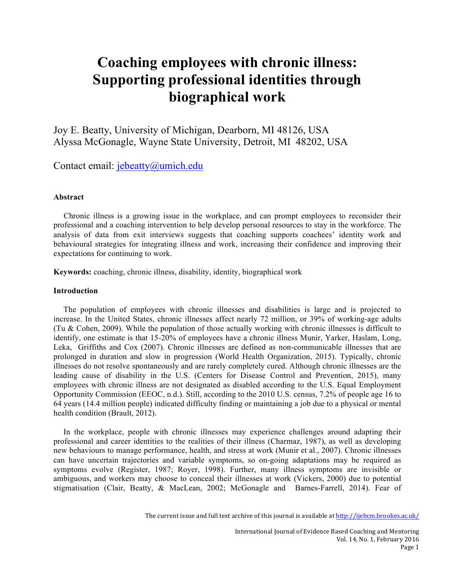# **Coaching employees with chronic illness: Supporting professional identities through biographical work**

Joy E. Beatty, University of Michigan, Dearborn, MI 48126, USA Alyssa McGonagle, Wayne State University, Detroit, MI 48202, USA

Contact email: jebeatty@umich.edu

# **Abstract**

 Chronic illness is a growing issue in the workplace, and can prompt employees to reconsider their professional and a coaching intervention to help develop personal resources to stay in the workforce. The analysis of data from exit interviews suggests that coaching supports coachees' identity work and behavioural strategies for integrating illness and work, increasing their confidence and improving their expectations for continuing to work.

**Keywords:** coaching, chronic illness, disability, identity, biographical work

# **Introduction**

The population of employees with chronic illnesses and disabilities is large and is projected to increase. In the United States, chronic illnesses affect nearly 72 million, or 39% of working-age adults (Tu & Cohen, 2009). While the population of those actually working with chronic illnesses is difficult to identify, one estimate is that 15-20% of employees have a chronic illness Munir, Yarker, Haslam, Long, Leka, Griffiths and Cox (2007). Chronic illnesses are defined as non-communicable illnesses that are prolonged in duration and slow in progression (World Health Organization, 2015). Typically, chronic illnesses do not resolve spontaneously and are rarely completely cured. Although chronic illnesses are the leading cause of disability in the U.S. (Centers for Disease Control and Prevention, 2015), many employees with chronic illness are not designated as disabled according to the U.S. Equal Employment Opportunity Commission (EEOC, n.d.). Still, according to the 2010 U.S. census, 7.2% of people age 16 to 64 years (14.4 million people) indicated difficulty finding or maintaining a job due to a physical or mental health condition (Brault, 2012).

In the workplace, people with chronic illnesses may experience challenges around adapting their professional and career identities to the realities of their illness (Charmaz, 1987), as well as developing new behaviours to manage performance, health, and stress at work (Munir et al., 2007). Chronic illnesses can have uncertain trajectories and variable symptoms, so on-going adaptations may be required as symptoms evolve (Register, 1987; Royer, 1998). Further, many illness symptoms are invisible or ambiguous, and workers may choose to conceal their illnesses at work (Vickers, 2000) due to potential stigmatisation (Clair, Beatty, & MacLean, 2002; McGonagle and Barnes-Farrell, 2014). Fear of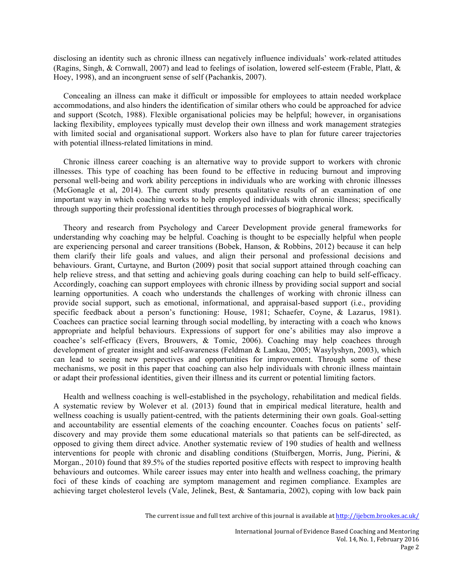disclosing an identity such as chronic illness can negatively influence individuals' work-related attitudes (Ragins, Singh, & Cornwall, 2007) and lead to feelings of isolation, lowered self-esteem (Frable, Platt, & Hoey, 1998), and an incongruent sense of self (Pachankis, 2007).

Concealing an illness can make it difficult or impossible for employees to attain needed workplace accommodations, and also hinders the identification of similar others who could be approached for advice and support (Scotch, 1988). Flexible organisational policies may be helpful; however, in organisations lacking flexibility, employees typically must develop their own illness and work management strategies with limited social and organisational support. Workers also have to plan for future career trajectories with potential illness-related limitations in mind.

Chronic illness career coaching is an alternative way to provide support to workers with chronic illnesses. This type of coaching has been found to be effective in reducing burnout and improving personal well-being and work ability perceptions in individuals who are working with chronic illnesses (McGonagle et al, 2014). The current study presents qualitative results of an examination of one important way in which coaching works to help employed individuals with chronic illness; specifically through supporting their professional identities through processes of biographical work.

Theory and research from Psychology and Career Development provide general frameworks for understanding why coaching may be helpful. Coaching is thought to be especially helpful when people are experiencing personal and career transitions (Bobek, Hanson, & Robbins, 2012) because it can help them clarify their life goals and values, and align their personal and professional decisions and behaviours. Grant, Curtayne, and Burton (2009) posit that social support attained through coaching can help relieve stress, and that setting and achieving goals during coaching can help to build self-efficacy. Accordingly, coaching can support employees with chronic illness by providing social support and social learning opportunities. A coach who understands the challenges of working with chronic illness can provide social support, such as emotional, informational, and appraisal-based support (i.e., providing specific feedback about a person's functioning: House, 1981; Schaefer, Coyne, & Lazarus, 1981). Coachees can practice social learning through social modelling, by interacting with a coach who knows appropriate and helpful behaviours. Expressions of support for one's abilities may also improve a coachee's self-efficacy (Evers, Brouwers, & Tomic, 2006). Coaching may help coachees through development of greater insight and self-awareness (Feldman & Lankau, 2005; Wasylyshyn, 2003), which can lead to seeing new perspectives and opportunities for improvement. Through some of these mechanisms, we posit in this paper that coaching can also help individuals with chronic illness maintain or adapt their professional identities, given their illness and its current or potential limiting factors.

Health and wellness coaching is well-established in the psychology, rehabilitation and medical fields. A systematic review by Wolever et al. (2013) found that in empirical medical literature, health and wellness coaching is usually patient-centred, with the patients determining their own goals. Goal-setting and accountability are essential elements of the coaching encounter. Coaches focus on patients' selfdiscovery and may provide them some educational materials so that patients can be self-directed, as opposed to giving them direct advice. Another systematic review of 190 studies of health and wellness interventions for people with chronic and disabling conditions (Stuifbergen, Morris, Jung, Pierini, & Morgan., 2010) found that 89.5% of the studies reported positive effects with respect to improving health behaviours and outcomes. While career issues may enter into health and wellness coaching, the primary foci of these kinds of coaching are symptom management and regimen compliance. Examples are achieving target cholesterol levels (Vale, Jelinek, Best, & Santamaria, 2002), coping with low back pain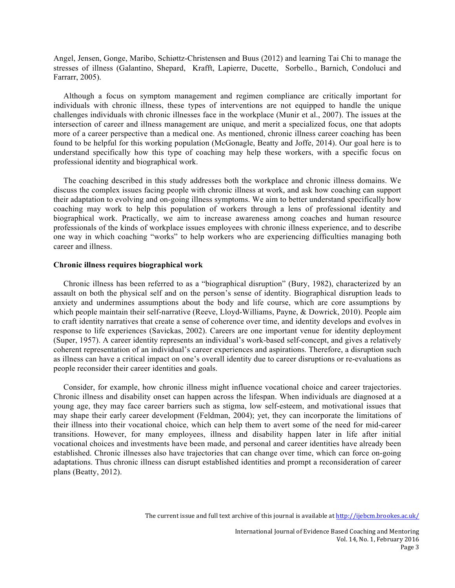Angel, Jensen, Gonge, Maribo, Schiøttz-Christensen and Buus (2012) and learning Tai Chi to manage the stresses of illness (Galantino, Shepard, Krafft, Lapierre, Ducette, Sorbello., Barnich, Condoluci and Farrarr, 2005).

Although a focus on symptom management and regimen compliance are critically important for individuals with chronic illness, these types of interventions are not equipped to handle the unique challenges individuals with chronic illnesses face in the workplace (Munir et al., 2007). The issues at the intersection of career and illness management are unique, and merit a specialized focus, one that adopts more of a career perspective than a medical one. As mentioned, chronic illness career coaching has been found to be helpful for this working population (McGonagle, Beatty and Joffe, 2014). Our goal here is to understand specifically how this type of coaching may help these workers, with a specific focus on professional identity and biographical work.

The coaching described in this study addresses both the workplace and chronic illness domains. We discuss the complex issues facing people with chronic illness at work, and ask how coaching can support their adaptation to evolving and on-going illness symptoms. We aim to better understand specifically how coaching may work to help this population of workers through a lens of professional identity and biographical work. Practically, we aim to increase awareness among coaches and human resource professionals of the kinds of workplace issues employees with chronic illness experience, and to describe one way in which coaching "works" to help workers who are experiencing difficulties managing both career and illness.

# **Chronic illness requires biographical work**

Chronic illness has been referred to as a "biographical disruption" (Bury, 1982), characterized by an assault on both the physical self and on the person's sense of identity. Biographical disruption leads to anxiety and undermines assumptions about the body and life course, which are core assumptions by which people maintain their self-narrative (Reeve, Lloyd-Williams, Payne, & Dowrick, 2010). People aim to craft identity narratives that create a sense of coherence over time, and identity develops and evolves in response to life experiences (Savickas, 2002). Careers are one important venue for identity deployment (Super, 1957). A career identity represents an individual's work-based self-concept, and gives a relatively coherent representation of an individual's career experiences and aspirations. Therefore, a disruption such as illness can have a critical impact on one's overall identity due to career disruptions or re-evaluations as people reconsider their career identities and goals.

Consider, for example, how chronic illness might influence vocational choice and career trajectories. Chronic illness and disability onset can happen across the lifespan. When individuals are diagnosed at a young age, they may face career barriers such as stigma, low self-esteem, and motivational issues that may shape their early career development (Feldman, 2004); yet, they can incorporate the limitations of their illness into their vocational choice, which can help them to avert some of the need for mid-career transitions. However, for many employees, illness and disability happen later in life after initial vocational choices and investments have been made, and personal and career identities have already been established. Chronic illnesses also have trajectories that can change over time, which can force on-going adaptations. Thus chronic illness can disrupt established identities and prompt a reconsideration of career plans (Beatty, 2012).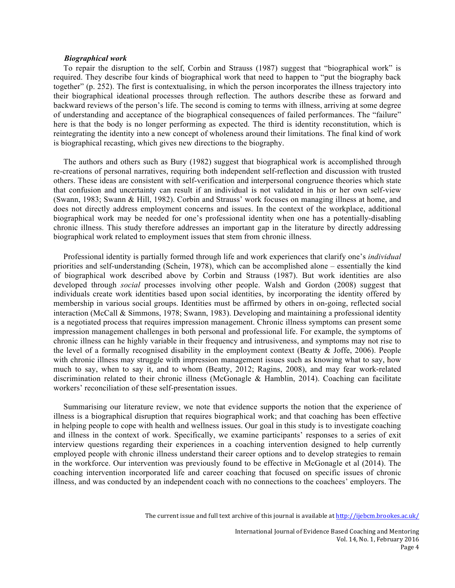## *Biographical work*

To repair the disruption to the self, Corbin and Strauss (1987) suggest that "biographical work" is required. They describe four kinds of biographical work that need to happen to "put the biography back together" (p. 252). The first is contextualising, in which the person incorporates the illness trajectory into their biographical ideational processes through reflection. The authors describe these as forward and backward reviews of the person's life. The second is coming to terms with illness, arriving at some degree of understanding and acceptance of the biographical consequences of failed performances. The "failure" here is that the body is no longer performing as expected. The third is identity reconstitution, which is reintegrating the identity into a new concept of wholeness around their limitations. The final kind of work is biographical recasting, which gives new directions to the biography.

The authors and others such as Bury (1982) suggest that biographical work is accomplished through re-creations of personal narratives, requiring both independent self-reflection and discussion with trusted others. These ideas are consistent with self-verification and interpersonal congruence theories which state that confusion and uncertainty can result if an individual is not validated in his or her own self-view (Swann, 1983; Swann & Hill, 1982). Corbin and Strauss' work focuses on managing illness at home, and does not directly address employment concerns and issues. In the context of the workplace, additional biographical work may be needed for one's professional identity when one has a potentially-disabling chronic illness. This study therefore addresses an important gap in the literature by directly addressing biographical work related to employment issues that stem from chronic illness.

Professional identity is partially formed through life and work experiences that clarify one's *individual*  priorities and self-understanding (Schein, 1978), which can be accomplished alone – essentially the kind of biographical work described above by Corbin and Strauss (1987). But work identities are also developed through *social* processes involving other people. Walsh and Gordon (2008) suggest that individuals create work identities based upon social identities, by incorporating the identity offered by membership in various social groups. Identities must be affirmed by others in on-going, reflected social interaction (McCall & Simmons, 1978; Swann, 1983). Developing and maintaining a professional identity is a negotiated process that requires impression management. Chronic illness symptoms can present some impression management challenges in both personal and professional life. For example, the symptoms of chronic illness can he highly variable in their frequency and intrusiveness, and symptoms may not rise to the level of a formally recognised disability in the employment context (Beatty & Joffe, 2006). People with chronic illness may struggle with impression management issues such as knowing what to say, how much to say, when to say it, and to whom (Beatty, 2012; Ragins, 2008), and may fear work-related discrimination related to their chronic illness (McGonagle & Hamblin, 2014). Coaching can facilitate workers' reconciliation of these self-presentation issues.

Summarising our literature review, we note that evidence supports the notion that the experience of illness is a biographical disruption that requires biographical work; and that coaching has been effective in helping people to cope with health and wellness issues. Our goal in this study is to investigate coaching and illness in the context of work. Specifically, we examine participants' responses to a series of exit interview questions regarding their experiences in a coaching intervention designed to help currently employed people with chronic illness understand their career options and to develop strategies to remain in the workforce. Our intervention was previously found to be effective in McGonagle et al (2014). The coaching intervention incorporated life and career coaching that focused on specific issues of chronic illness, and was conducted by an independent coach with no connections to the coachees' employers. The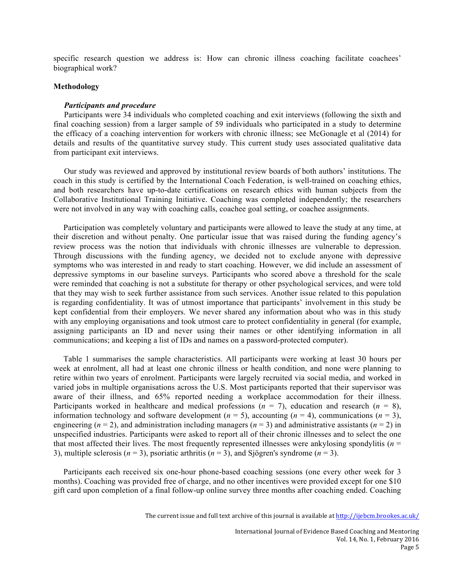specific research question we address is: How can chronic illness coaching facilitate coachees' biographical work?

# **Methodology**

#### *Participants and procedure*

Participants were 34 individuals who completed coaching and exit interviews (following the sixth and final coaching session) from a larger sample of 59 individuals who participated in a study to determine the efficacy of a coaching intervention for workers with chronic illness; see McGonagle et al (2014) for details and results of the quantitative survey study. This current study uses associated qualitative data from participant exit interviews.

Our study was reviewed and approved by institutional review boards of both authors' institutions. The coach in this study is certified by the International Coach Federation, is well-trained on coaching ethics, and both researchers have up-to-date certifications on research ethics with human subjects from the Collaborative Institutional Training Initiative. Coaching was completed independently; the researchers were not involved in any way with coaching calls, coachee goal setting, or coachee assignments.

Participation was completely voluntary and participants were allowed to leave the study at any time, at their discretion and without penalty. One particular issue that was raised during the funding agency's review process was the notion that individuals with chronic illnesses are vulnerable to depression. Through discussions with the funding agency, we decided not to exclude anyone with depressive symptoms who was interested in and ready to start coaching. However, we did include an assessment of depressive symptoms in our baseline surveys. Participants who scored above a threshold for the scale were reminded that coaching is not a substitute for therapy or other psychological services, and were told that they may wish to seek further assistance from such services. Another issue related to this population is regarding confidentiality. It was of utmost importance that participants' involvement in this study be kept confidential from their employers. We never shared any information about who was in this study with any employing organisations and took utmost care to protect confidentiality in general (for example, assigning participants an ID and never using their names or other identifying information in all communications; and keeping a list of IDs and names on a password-protected computer).

Table 1 summarises the sample characteristics. All participants were working at least 30 hours per week at enrolment, all had at least one chronic illness or health condition, and none were planning to retire within two years of enrolment. Participants were largely recruited via social media, and worked in varied jobs in multiple organisations across the U.S. Most participants reported that their supervisor was aware of their illness, and 65% reported needing a workplace accommodation for their illness. Participants worked in healthcare and medical professions  $(n = 7)$ , education and research  $(n = 8)$ , information technology and software development ( $n = 5$ ), accounting ( $n = 4$ ), communications ( $n = 3$ ), engineering ( $n = 2$ ), and administration including managers ( $n = 3$ ) and administrative assistants ( $n = 2$ ) in unspecified industries. Participants were asked to report all of their chronic illnesses and to select the one that most affected their lives. The most frequently represented illnesses were ankylosing spondylitis (*n* = 3), multiple sclerosis  $(n = 3)$ , psoriatic arthritis  $(n = 3)$ , and Sjögren's syndrome  $(n = 3)$ .

Participants each received six one-hour phone-based coaching sessions (one every other week for 3 months). Coaching was provided free of charge, and no other incentives were provided except for one \$10 gift card upon completion of a final follow-up online survey three months after coaching ended. Coaching

The current issue and full text archive of this journal is available at  $<http://jiebcm.brookes.ac.uk/>$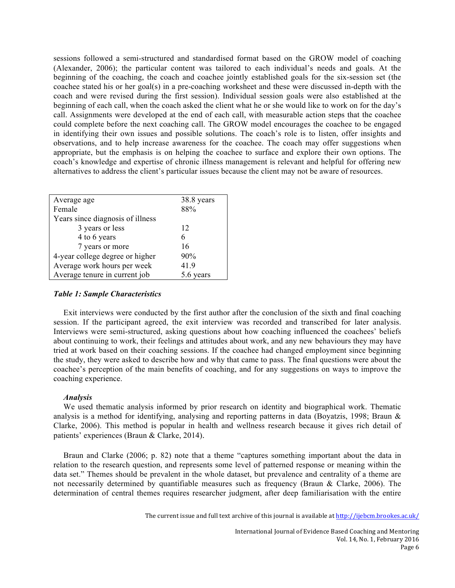sessions followed a semi-structured and standardised format based on the GROW model of coaching (Alexander, 2006); the particular content was tailored to each individual's needs and goals. At the beginning of the coaching, the coach and coachee jointly established goals for the six-session set (the coachee stated his or her goal(s) in a pre-coaching worksheet and these were discussed in-depth with the coach and were revised during the first session). Individual session goals were also established at the beginning of each call, when the coach asked the client what he or she would like to work on for the day's call. Assignments were developed at the end of each call, with measurable action steps that the coachee could complete before the next coaching call. The GROW model encourages the coachee to be engaged in identifying their own issues and possible solutions. The coach's role is to listen, offer insights and observations, and to help increase awareness for the coachee. The coach may offer suggestions when appropriate, but the emphasis is on helping the coachee to surface and explore their own options. The coach's knowledge and expertise of chronic illness management is relevant and helpful for offering new alternatives to address the client's particular issues because the client may not be aware of resources.

| Average age                      | 38.8 years |
|----------------------------------|------------|
| Female                           | 88%        |
| Years since diagnosis of illness |            |
| 3 years or less                  | 12         |
| 4 to 6 years                     | 6          |
| 7 years or more                  | 16         |
| 4-year college degree or higher  | 90%        |
| Average work hours per week      | 41.9       |
| Average tenure in current job    | 5.6 years  |

# *Table 1: Sample Characteristics*

Exit interviews were conducted by the first author after the conclusion of the sixth and final coaching session. If the participant agreed, the exit interview was recorded and transcribed for later analysis. Interviews were semi-structured, asking questions about how coaching influenced the coachees' beliefs about continuing to work, their feelings and attitudes about work, and any new behaviours they may have tried at work based on their coaching sessions. If the coachee had changed employment since beginning the study, they were asked to describe how and why that came to pass. The final questions were about the coachee's perception of the main benefits of coaching, and for any suggestions on ways to improve the coaching experience.

#### *Analysis*

We used thematic analysis informed by prior research on identity and biographical work. Thematic analysis is a method for identifying, analysing and reporting patterns in data (Boyatzis, 1998; Braun & Clarke, 2006). This method is popular in health and wellness research because it gives rich detail of patients' experiences (Braun & Clarke, 2014).

Braun and Clarke (2006; p. 82) note that a theme "captures something important about the data in relation to the research question, and represents some level of patterned response or meaning within the data set." Themes should be prevalent in the whole dataset, but prevalence and centrality of a theme are not necessarily determined by quantifiable measures such as frequency (Braun & Clarke, 2006). The determination of central themes requires researcher judgment, after deep familiarisation with the entire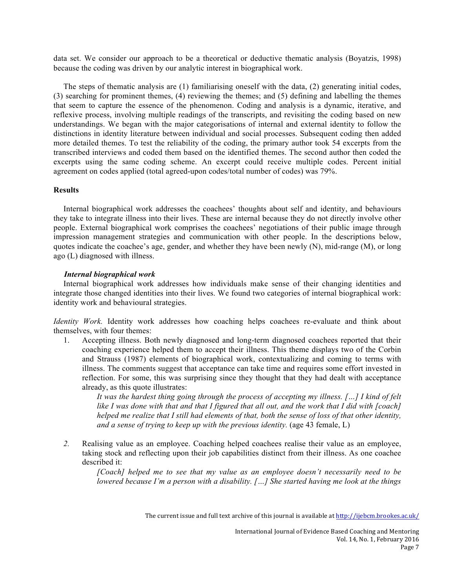data set. We consider our approach to be a theoretical or deductive thematic analysis (Boyatzis, 1998) because the coding was driven by our analytic interest in biographical work.

The steps of thematic analysis are (1) familiarising oneself with the data, (2) generating initial codes, (3) searching for prominent themes, (4) reviewing the themes; and (5) defining and labelling the themes that seem to capture the essence of the phenomenon. Coding and analysis is a dynamic, iterative, and reflexive process, involving multiple readings of the transcripts, and revisiting the coding based on new understandings. We began with the major categorisations of internal and external identity to follow the distinctions in identity literature between individual and social processes. Subsequent coding then added more detailed themes. To test the reliability of the coding, the primary author took 54 excerpts from the transcribed interviews and coded them based on the identified themes. The second author then coded the excerpts using the same coding scheme. An excerpt could receive multiple codes. Percent initial agreement on codes applied (total agreed-upon codes/total number of codes) was 79%.

# **Results**

Internal biographical work addresses the coachees' thoughts about self and identity, and behaviours they take to integrate illness into their lives. These are internal because they do not directly involve other people. External biographical work comprises the coachees' negotiations of their public image through impression management strategies and communication with other people. In the descriptions below, quotes indicate the coachee's age, gender, and whether they have been newly (N), mid-range (M), or long ago (L) diagnosed with illness.

#### *Internal biographical work*

Internal biographical work addresses how individuals make sense of their changing identities and integrate those changed identities into their lives. We found two categories of internal biographical work: identity work and behavioural strategies.

*Identity Work.* Identity work addresses how coaching helps coachees re-evaluate and think about themselves, with four themes:

1. Accepting illness. Both newly diagnosed and long-term diagnosed coachees reported that their coaching experience helped them to accept their illness. This theme displays two of the Corbin and Strauss (1987) elements of biographical work, contextualizing and coming to terms with illness. The comments suggest that acceptance can take time and requires some effort invested in reflection. For some, this was surprising since they thought that they had dealt with acceptance already, as this quote illustrates:

*It was the hardest thing going through the process of accepting my illness. […] I kind of felt*  like I was done with that and that I figured that all out, and the work that I did with [coach] *helped me realize that I still had elements of that, both the sense of loss of that other identity, and a sense of trying to keep up with the previous identity.* (age 43 female, L)

*2.* Realising value as an employee. Coaching helped coachees realise their value as an employee, taking stock and reflecting upon their job capabilities distinct from their illness. As one coachee described it:

*[Coach] helped me to see that my value as an employee doesn't necessarily need to be lowered because I'm a person with a disability. […] She started having me look at the things*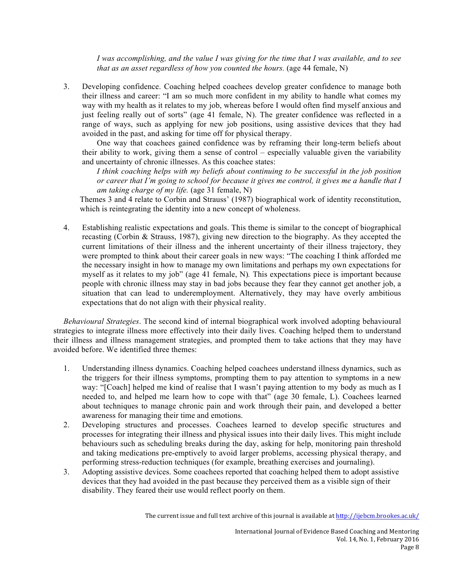*I was accomplishing, and the value I was giving for the time that I was available, and to see that as an asset regardless of how you counted the hours.* (age 44 female, N)

3. Developing confidence. Coaching helped coachees develop greater confidence to manage both their illness and career: "I am so much more confident in my ability to handle what comes my way with my health as it relates to my job, whereas before I would often find myself anxious and just feeling really out of sorts" (age 41 female, N). The greater confidence was reflected in a range of ways, such as applying for new job positions, using assistive devices that they had avoided in the past, and asking for time off for physical therapy.

One way that coachees gained confidence was by reframing their long-term beliefs about their ability to work, giving them a sense of control – especially valuable given the variability and uncertainty of chronic illnesses. As this coachee states:

*I think coaching helps with my beliefs about continuing to be successful in the job position or career that I'm going to school for because it gives me control, it gives me a handle that I am taking charge of my life.* (age 31 female, N)

Themes 3 and 4 relate to Corbin and Strauss' (1987) biographical work of identity reconstitution, which is reintegrating the identity into a new concept of wholeness.

4. Establishing realistic expectations and goals. This theme is similar to the concept of biographical recasting (Corbin & Strauss, 1987), giving new direction to the biography. As they accepted the current limitations of their illness and the inherent uncertainty of their illness trajectory, they were prompted to think about their career goals in new ways: "The coaching I think afforded me the necessary insight in how to manage my own limitations and perhaps my own expectations for myself as it relates to my job" (age 41 female, N)*.* This expectations piece is important because people with chronic illness may stay in bad jobs because they fear they cannot get another job, a situation that can lead to underemployment. Alternatively, they may have overly ambitious expectations that do not align with their physical reality.

*Behavioural Strategies*. The second kind of internal biographical work involved adopting behavioural strategies to integrate illness more effectively into their daily lives. Coaching helped them to understand their illness and illness management strategies, and prompted them to take actions that they may have avoided before. We identified three themes:

- 1. Understanding illness dynamics. Coaching helped coachees understand illness dynamics, such as the triggers for their illness symptoms, prompting them to pay attention to symptoms in a new way: "[Coach] helped me kind of realise that I wasn't paying attention to my body as much as I needed to, and helped me learn how to cope with that" (age 30 female, L). Coachees learned about techniques to manage chronic pain and work through their pain, and developed a better awareness for managing their time and emotions.
- 2. Developing structures and processes. Coachees learned to develop specific structures and processes for integrating their illness and physical issues into their daily lives. This might include behaviours such as scheduling breaks during the day, asking for help, monitoring pain threshold and taking medications pre-emptively to avoid larger problems, accessing physical therapy, and performing stress-reduction techniques (for example, breathing exercises and journaling).
- 3. Adopting assistive devices. Some coachees reported that coaching helped them to adopt assistive devices that they had avoided in the past because they perceived them as a visible sign of their disability. They feared their use would reflect poorly on them.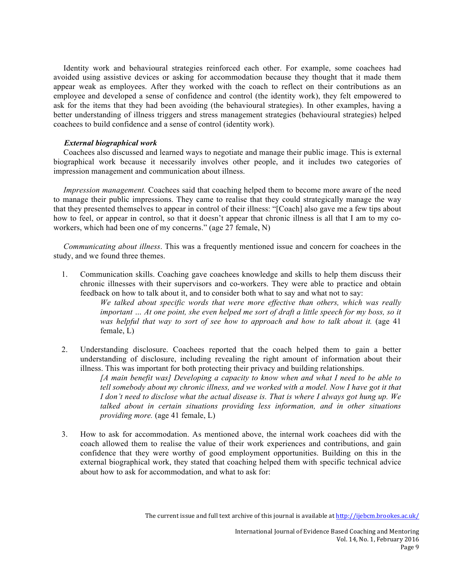Identity work and behavioural strategies reinforced each other. For example, some coachees had avoided using assistive devices or asking for accommodation because they thought that it made them appear weak as employees. After they worked with the coach to reflect on their contributions as an employee and developed a sense of confidence and control (the identity work), they felt empowered to ask for the items that they had been avoiding (the behavioural strategies). In other examples, having a better understanding of illness triggers and stress management strategies (behavioural strategies) helped coachees to build confidence and a sense of control (identity work).

# *External biographical work*

Coachees also discussed and learned ways to negotiate and manage their public image. This is external biographical work because it necessarily involves other people, and it includes two categories of impression management and communication about illness.

*Impression management.* Coachees said that coaching helped them to become more aware of the need to manage their public impressions. They came to realise that they could strategically manage the way that they presented themselves to appear in control of their illness: "[Coach] also gave me a few tips about how to feel, or appear in control, so that it doesn't appear that chronic illness is all that I am to my coworkers, which had been one of my concerns." (age 27 female, N)

*Communicating about illness*. This was a frequently mentioned issue and concern for coachees in the study, and we found three themes.

1. Communication skills. Coaching gave coachees knowledge and skills to help them discuss their chronic illnesses with their supervisors and co-workers. They were able to practice and obtain feedback on how to talk about it, and to consider both what to say and what not to say:

> *We talked about specific words that were more effective than others, which was really important … At one point, she even helped me sort of draft a little speech for my boss, so it was helpful that way to sort of see how to approach and how to talk about it.* (age 41 female, L)

2. Understanding disclosure. Coachees reported that the coach helped them to gain a better understanding of disclosure, including revealing the right amount of information about their illness. This was important for both protecting their privacy and building relationships.

> *[A main benefit was] Developing a capacity to know when and what I need to be able to tell somebody about my chronic illness, and we worked with a model. Now I have got it that I don't need to disclose what the actual disease is. That is where I always got hung up. We talked about in certain situations providing less information, and in other situations providing more.* (age 41 female, L)

3. How to ask for accommodation. As mentioned above, the internal work coachees did with the coach allowed them to realise the value of their work experiences and contributions, and gain confidence that they were worthy of good employment opportunities. Building on this in the external biographical work, they stated that coaching helped them with specific technical advice about how to ask for accommodation, and what to ask for: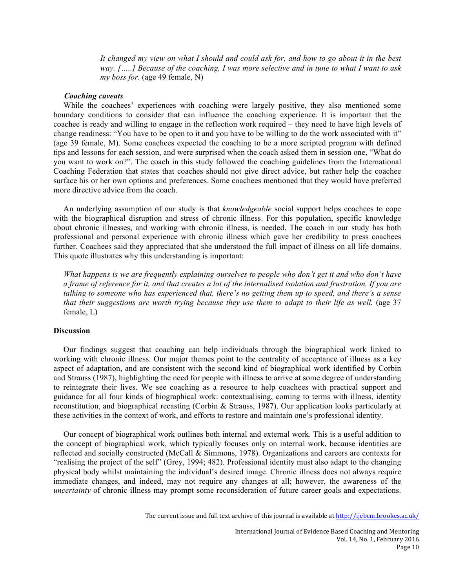*It changed my view on what I should and could ask for, and how to go about it in the best way. […..] Because of the coaching, I was more selective and in tune to what I want to ask my boss for.* (age 49 female, N)

#### *Coaching caveats*

While the coachees' experiences with coaching were largely positive, they also mentioned some boundary conditions to consider that can influence the coaching experience. It is important that the coachee is ready and willing to engage in the reflection work required – they need to have high levels of change readiness: "You have to be open to it and you have to be willing to do the work associated with it" (age 39 female, M). Some coachees expected the coaching to be a more scripted program with defined tips and lessons for each session, and were surprised when the coach asked them in session one, "What do you want to work on?". The coach in this study followed the coaching guidelines from the International Coaching Federation that states that coaches should not give direct advice, but rather help the coachee surface his or her own options and preferences. Some coachees mentioned that they would have preferred more directive advice from the coach.

An underlying assumption of our study is that *knowledgeable* social support helps coachees to cope with the biographical disruption and stress of chronic illness. For this population, specific knowledge about chronic illnesses, and working with chronic illness, is needed. The coach in our study has both professional and personal experience with chronic illness which gave her credibility to press coachees further. Coachees said they appreciated that she understood the full impact of illness on all life domains. This quote illustrates why this understanding is important:

*What happens is we are frequently explaining ourselves to people who don't get it and who don't have a frame of reference for it, and that creates a lot of the internalised isolation and frustration. If you are talking to someone who has experienced that, there's no getting them up to speed, and there's a sense that their suggestions are worth trying because they use them to adapt to their life as well.* (age 37 female, L)

# **Discussion**

Our findings suggest that coaching can help individuals through the biographical work linked to working with chronic illness. Our major themes point to the centrality of acceptance of illness as a key aspect of adaptation, and are consistent with the second kind of biographical work identified by Corbin and Strauss (1987), highlighting the need for people with illness to arrive at some degree of understanding to reintegrate their lives. We see coaching as a resource to help coachees with practical support and guidance for all four kinds of biographical work: contextualising, coming to terms with illness, identity reconstitution, and biographical recasting (Corbin & Strauss, 1987). Our application looks particularly at these activities in the context of work, and efforts to restore and maintain one's professional identity.

Our concept of biographical work outlines both internal and external work. This is a useful addition to the concept of biographical work, which typically focuses only on internal work, because identities are reflected and socially constructed (McCall & Simmons, 1978). Organizations and careers are contexts for "realising the project of the self" (Grey, 1994; 482). Professional identity must also adapt to the changing physical body whilst maintaining the individual's desired image. Chronic illness does not always require immediate changes, and indeed, may not require any changes at all; however, the awareness of the *uncertainty* of chronic illness may prompt some reconsideration of future career goals and expectations.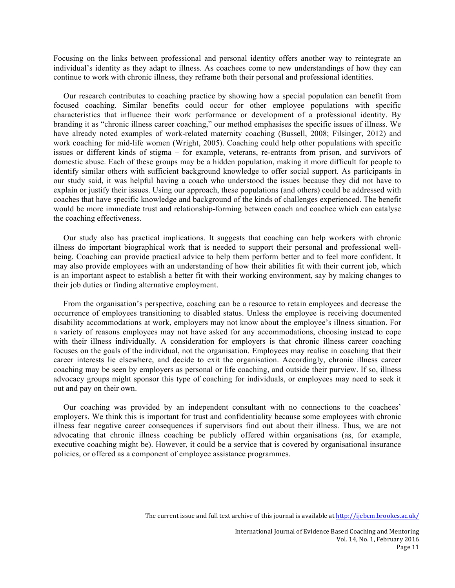Focusing on the links between professional and personal identity offers another way to reintegrate an individual's identity as they adapt to illness. As coachees come to new understandings of how they can continue to work with chronic illness, they reframe both their personal and professional identities.

Our research contributes to coaching practice by showing how a special population can benefit from focused coaching. Similar benefits could occur for other employee populations with specific characteristics that influence their work performance or development of a professional identity. By branding it as "chronic illness career coaching," our method emphasises the specific issues of illness. We have already noted examples of work-related maternity coaching (Bussell, 2008; Filsinger, 2012) and work coaching for mid-life women (Wright, 2005). Coaching could help other populations with specific issues or different kinds of stigma – for example, veterans, re-entrants from prison, and survivors of domestic abuse. Each of these groups may be a hidden population, making it more difficult for people to identify similar others with sufficient background knowledge to offer social support. As participants in our study said, it was helpful having a coach who understood the issues because they did not have to explain or justify their issues. Using our approach, these populations (and others) could be addressed with coaches that have specific knowledge and background of the kinds of challenges experienced. The benefit would be more immediate trust and relationship-forming between coach and coachee which can catalyse the coaching effectiveness.

Our study also has practical implications. It suggests that coaching can help workers with chronic illness do important biographical work that is needed to support their personal and professional wellbeing. Coaching can provide practical advice to help them perform better and to feel more confident. It may also provide employees with an understanding of how their abilities fit with their current job, which is an important aspect to establish a better fit with their working environment, say by making changes to their job duties or finding alternative employment.

From the organisation's perspective, coaching can be a resource to retain employees and decrease the occurrence of employees transitioning to disabled status. Unless the employee is receiving documented disability accommodations at work, employers may not know about the employee's illness situation. For a variety of reasons employees may not have asked for any accommodations, choosing instead to cope with their illness individually. A consideration for employers is that chronic illness career coaching focuses on the goals of the individual, not the organisation. Employees may realise in coaching that their career interests lie elsewhere, and decide to exit the organisation. Accordingly, chronic illness career coaching may be seen by employers as personal or life coaching, and outside their purview. If so, illness advocacy groups might sponsor this type of coaching for individuals, or employees may need to seek it out and pay on their own.

Our coaching was provided by an independent consultant with no connections to the coachees' employers. We think this is important for trust and confidentiality because some employees with chronic illness fear negative career consequences if supervisors find out about their illness. Thus, we are not advocating that chronic illness coaching be publicly offered within organisations (as, for example, executive coaching might be). However, it could be a service that is covered by organisational insurance policies, or offered as a component of employee assistance programmes.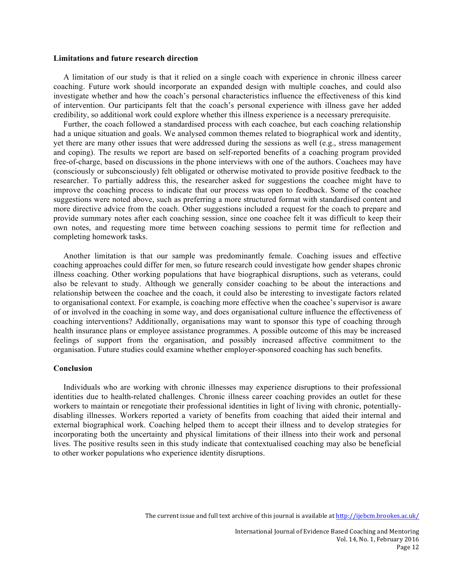#### **Limitations and future research direction**

A limitation of our study is that it relied on a single coach with experience in chronic illness career coaching. Future work should incorporate an expanded design with multiple coaches, and could also investigate whether and how the coach's personal characteristics influence the effectiveness of this kind of intervention. Our participants felt that the coach's personal experience with illness gave her added credibility, so additional work could explore whether this illness experience is a necessary prerequisite.

Further, the coach followed a standardised process with each coachee, but each coaching relationship had a unique situation and goals. We analysed common themes related to biographical work and identity, yet there are many other issues that were addressed during the sessions as well (e.g., stress management and coping). The results we report are based on self-reported benefits of a coaching program provided free-of-charge, based on discussions in the phone interviews with one of the authors. Coachees may have (consciously or subconsciously) felt obligated or otherwise motivated to provide positive feedback to the researcher. To partially address this, the researcher asked for suggestions the coachee might have to improve the coaching process to indicate that our process was open to feedback. Some of the coachee suggestions were noted above, such as preferring a more structured format with standardised content and more directive advice from the coach. Other suggestions included a request for the coach to prepare and provide summary notes after each coaching session, since one coachee felt it was difficult to keep their own notes, and requesting more time between coaching sessions to permit time for reflection and completing homework tasks.

Another limitation is that our sample was predominantly female. Coaching issues and effective coaching approaches could differ for men, so future research could investigate how gender shapes chronic illness coaching. Other working populations that have biographical disruptions, such as veterans, could also be relevant to study. Although we generally consider coaching to be about the interactions and relationship between the coachee and the coach, it could also be interesting to investigate factors related to organisational context. For example, is coaching more effective when the coachee's supervisor is aware of or involved in the coaching in some way, and does organisational culture influence the effectiveness of coaching interventions? Additionally, organisations may want to sponsor this type of coaching through health insurance plans or employee assistance programmes. A possible outcome of this may be increased feelings of support from the organisation, and possibly increased affective commitment to the organisation. Future studies could examine whether employer-sponsored coaching has such benefits.

#### **Conclusion**

Individuals who are working with chronic illnesses may experience disruptions to their professional identities due to health-related challenges. Chronic illness career coaching provides an outlet for these workers to maintain or renegotiate their professional identities in light of living with chronic, potentiallydisabling illnesses. Workers reported a variety of benefits from coaching that aided their internal and external biographical work. Coaching helped them to accept their illness and to develop strategies for incorporating both the uncertainty and physical limitations of their illness into their work and personal lives. The positive results seen in this study indicate that contextualised coaching may also be beneficial to other worker populations who experience identity disruptions.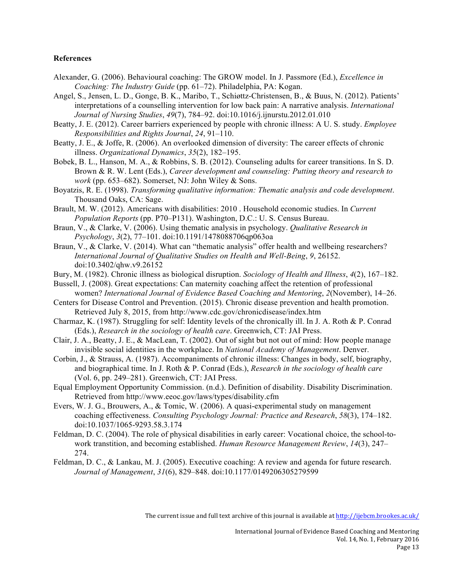#### **References**

- Alexander, G. (2006). Behavioural coaching: The GROW model. In J. Passmore (Ed.), *Excellence in Coaching: The Industry Guide* (pp. 61–72). Philadelphia, PA: Kogan.
- Angel, S., Jensen, L. D., Gonge, B. K., Maribo, T., Schiøttz-Christensen, B., & Buus, N. (2012). Patients' interpretations of a counselling intervention for low back pain: A narrative analysis. *International Journal of Nursing Studies*, *49*(7), 784–92. doi:10.1016/j.ijnurstu.2012.01.010
- Beatty, J. E. (2012). Career barriers experienced by people with chronic illness: A U. S. study. *Employee Responsibilities and Rights Journal*, *24*, 91–110.
- Beatty, J. E., & Joffe, R. (2006). An overlooked dimension of diversity: The career effects of chronic illness. *Organizational Dynamics*, *35*(2), 182–195.
- Bobek, B. L., Hanson, M. A., & Robbins, S. B. (2012). Counseling adults for career transitions. In S. D. Brown & R. W. Lent (Eds.), *Career development and counseling: Putting theory and research to work* (pp. 653–682). Somerset, NJ: John Wiley & Sons.
- Boyatzis, R. E. (1998). *Transforming qualitative information: Thematic analysis and code development*. Thousand Oaks, CA: Sage.
- Brault, M. W. (2012). Americans with disabilities: 2010 . Household economic studies. In *Current Population Reports* (pp. P70–P131). Washington, D.C.: U. S. Census Bureau.
- Braun, V., & Clarke, V. (2006). Using thematic analysis in psychology. *Qualitative Research in Psychology*, *3*(2), 77–101. doi:10.1191/1478088706qp063oa
- Braun, V., & Clarke, V. (2014). What can "thematic analysis" offer health and wellbeing researchers? *International Journal of Qualitative Studies on Health and Well-Being*, *9*, 26152. doi:10.3402/qhw.v9.26152
- Bury, M. (1982). Chronic illness as biological disruption. *Sociology of Health and Illness*, *4*(2), 167–182.
- Bussell, J. (2008). Great expectations: Can maternity coaching affect the retention of professional women? *International Journal of Evidence Based Coaching and Mentoring*, *2*(November), 14–26.
- Centers for Disease Control and Prevention. (2015). Chronic disease prevention and health promotion. Retrieved July 8, 2015, from http://www.cdc.gov/chronicdisease/index.htm
- Charmaz, K. (1987). Struggling for self: Identity levels of the chronically ill. In J. A. Roth & P. Conrad (Eds.), *Research in the sociology of health care*. Greenwich, CT: JAI Press.
- Clair, J. A., Beatty, J. E., & MacLean, T. (2002). Out of sight but not out of mind: How people manage invisible social identities in the workplace. In *National Academy of Management*. Denver.
- Corbin, J., & Strauss, A. (1987). Accompaniments of chronic illness: Changes in body, self, biography, and biographical time. In J. Roth & P. Conrad (Eds.), *Research in the sociology of health care* (Vol. 6, pp. 249–281). Greenwich, CT: JAI Press.
- Equal Employment Opportunity Commission. (n.d.). Definition of disability. Disability Discrimination. Retrieved from http://www.eeoc.gov/laws/types/disability.cfm
- Evers, W. J. G., Brouwers, A., & Tomic, W. (2006). A quasi-experimental study on management coaching effectiveness. *Consulting Psychology Journal: Practice and Research*, *58*(3), 174–182. doi:10.1037/1065-9293.58.3.174
- Feldman, D. C. (2004). The role of physical disabilities in early career: Vocational choice, the school-towork transtition, and becoming established. *Human Resource Management Review*, *14*(3), 247– 274.
- Feldman, D. C., & Lankau, M. J. (2005). Executive coaching: A review and agenda for future research. *Journal of Management*, *31*(6), 829–848. doi:10.1177/0149206305279599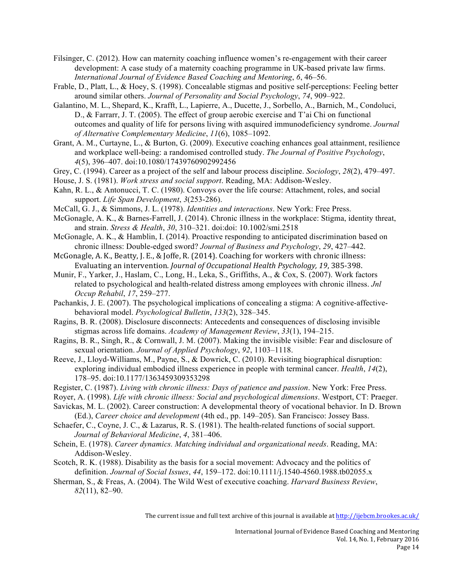- Filsinger, C. (2012). How can maternity coaching influence women's re-engagement with their career development: A case study of a maternity coaching programme in UK-based private law firms. *International Journal of Evidence Based Coaching and Mentoring*, *6*, 46–56.
- Frable, D., Platt, L., & Hoey, S. (1998). Concealable stigmas and positive self-perceptions: Feeling better around similar others. *Journal of Personality and Social Psychology*, *74*, 909–922.
- Galantino, M. L., Shepard, K., Krafft, L., Lapierre, A., Ducette, J., Sorbello, A., Barnich, M., Condoluci, D., & Farrarr, J. T. (2005). The effect of group aerobic exercise and T'ai Chi on functional outcomes and quality of life for persons living with asquired immunodeficiency syndrome. *Journal of Alternative Complementary Medicine*, *11*(6), 1085–1092.
- Grant, A. M., Curtayne, L., & Burton, G. (2009). Executive coaching enhances goal attainment, resilience and workplace well-being: a randomised controlled study. *The Journal of Positive Psychology*, *4*(5), 396–407. doi:10.1080/17439760902992456
- Grey, C. (1994). Career as a project of the self and labour process discipline. *Sociology*, *28*(2), 479–497.
- House, J. S. (1981). *Work stress and social support*. Reading, MA: Addison-Wesley.
- Kahn, R. L., & Antonucci, T. C. (1980). Convoys over the life course: Attachment, roles, and social support. *Life Span Development*, *3*(253-286).
- McCall, G. J., & Simmons, J. L. (1978). *Identities and interactions*. New York: Free Press.
- McGonagle, A. K., & Barnes-Farrell, J. (2014). Chronic illness in the workplace: Stigma, identity threat, and strain. *Stress & Health*, *30*, 310–321. doi:doi: 10.1002/smi.2518
- McGonagle, A. K., & Hamblin, I. (2014). Proactive responding to anticipated discrimination based on chronic illness: Double-edged sword? *Journal of Business and Psychology*, *29*, 427–442.

McGonagle, A. K., Beatty, J. E., & Joffe, R. (2014). Coaching for workers with chronic illness: Evaluating an intervention. *Journal of Occupational Health Psychology*, 19, 385-398.

- Munir, F., Yarker, J., Haslam, C., Long, H., Leka, S., Griffiths, A., & Cox, S. (2007). Work factors related to psychological and health-related distress among employees with chronic illness. *Jnl Occup Rehabil*, *17*, 259–277.
- Pachankis, J. E. (2007). The psychological implications of concealing a stigma: A cognitive-affectivebehavioral model. *Psychological Bulletin*, *133*(2), 328–345.
- Ragins, B. R. (2008). Disclosure disconnects: Antecedents and consequences of disclosing invisible stigmas across life domains. *Academy of Management Review*, *33*(1), 194–215.
- Ragins, B. R., Singh, R., & Cornwall, J. M. (2007). Making the invisible visible: Fear and disclosure of sexual orientation. *Journal of Applied Psychology*, *92*, 1103–1118.
- Reeve, J., Lloyd-Williams, M., Payne, S., & Dowrick, C. (2010). Revisiting biographical disruption: exploring individual embodied illness experience in people with terminal cancer. *Health*, *14*(2), 178–95. doi:10.1177/1363459309353298
- Register, C. (1987). *Living with chronic illness: Days of patience and passion*. New York: Free Press.
- Royer, A. (1998). *Life with chronic illness: Social and psychological dimensions*. Westport, CT: Praeger.
- Savickas, M. L. (2002). Career construction: A developmental theory of vocational behavior. In D. Brown (Ed.), *Career choice and development* (4th ed., pp. 149–205). San Francisco: Jossey Bass.
- Schaefer, C., Coyne, J. C., & Lazarus, R. S. (1981). The health-related functions of social support. *Journal of Behavioral Medicine*, *4*, 381–406.
- Schein, E. (1978). *Career dynamics. Matching individual and organizational needs*. Reading, MA: Addison-Wesley.
- Scotch, R. K. (1988). Disability as the basis for a social movement: Advocacy and the politics of definition. *Journal of Social Issues*, *44*, 159–172. doi:10.1111/j.1540-4560.1988.tb02055.x
- Sherman, S., & Freas, A. (2004). The Wild West of executive coaching. *Harvard Business Review*, *82*(11), 82–90.